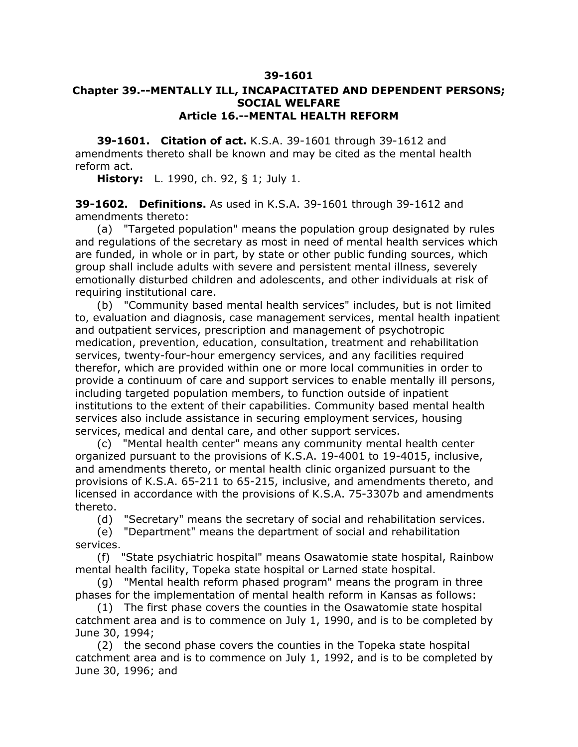## **39-1601**

## **Chapter 39.--MENTALLY ILL, INCAPACITATED AND DEPENDENT PERSONS; SOCIAL WELFARE Article 16.--MENTAL HEALTH REFORM**

**39-1601. Citation of act.** K.S.A. 39-1601 through 39-1612 and amendments thereto shall be known and may be cited as the mental health reform act.

**History:** L. 1990, ch. 92, § 1; July 1.

**39-1602. Definitions.** As used in K.S.A. 39-1601 through 39-1612 and amendments thereto:

(a) "Targeted population" means the population group designated by rules and regulations of the secretary as most in need of mental health services which are funded, in whole or in part, by state or other public funding sources, which group shall include adults with severe and persistent mental illness, severely emotionally disturbed children and adolescents, and other individuals at risk of requiring institutional care.

(b) "Community based mental health services" includes, but is not limited to, evaluation and diagnosis, case management services, mental health inpatient and outpatient services, prescription and management of psychotropic medication, prevention, education, consultation, treatment and rehabilitation services, twenty-four-hour emergency services, and any facilities required therefor, which are provided within one or more local communities in order to provide a continuum of care and support services to enable mentally ill persons, including targeted population members, to function outside of inpatient institutions to the extent of their capabilities. Community based mental health services also include assistance in securing employment services, housing services, medical and dental care, and other support services.

(c) "Mental health center" means any community mental health center organized pursuant to the provisions of K.S.A. 19-4001 to 19-4015, inclusive, and amendments thereto, or mental health clinic organized pursuant to the provisions of K.S.A. 65-211 to 65-215, inclusive, and amendments thereto, and licensed in accordance with the provisions of K.S.A. 75-3307b and amendments thereto.

(d) "Secretary" means the secretary of social and rehabilitation services.

(e) "Department" means the department of social and rehabilitation services.

(f) "State psychiatric hospital" means Osawatomie state hospital, Rainbow mental health facility, Topeka state hospital or Larned state hospital.

(g) "Mental health reform phased program" means the program in three phases for the implementation of mental health reform in Kansas as follows:

(1) The first phase covers the counties in the Osawatomie state hospital catchment area and is to commence on July 1, 1990, and is to be completed by June 30, 1994;

(2) the second phase covers the counties in the Topeka state hospital catchment area and is to commence on July 1, 1992, and is to be completed by June 30, 1996; and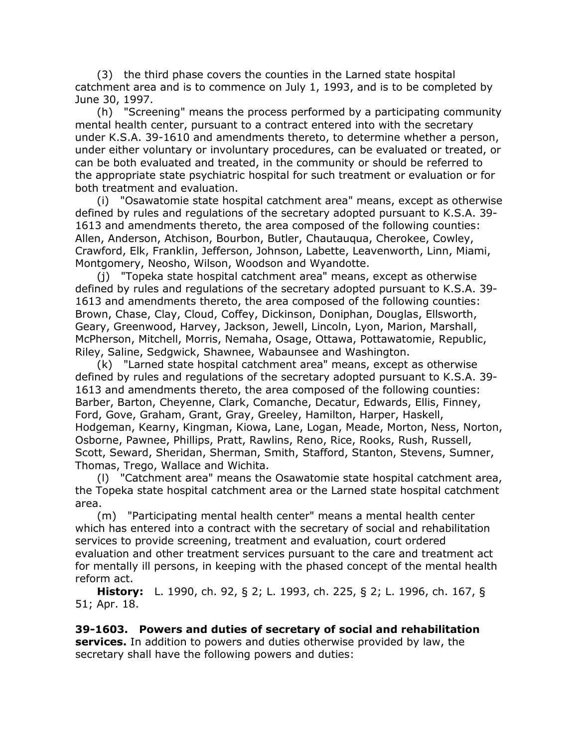(3) the third phase covers the counties in the Larned state hospital catchment area and is to commence on July 1, 1993, and is to be completed by June 30, 1997.

(h) "Screening" means the process performed by a participating community mental health center, pursuant to a contract entered into with the secretary under K.S.A. 39-1610 and amendments thereto, to determine whether a person, under either voluntary or involuntary procedures, can be evaluated or treated, or can be both evaluated and treated, in the community or should be referred to the appropriate state psychiatric hospital for such treatment or evaluation or for both treatment and evaluation.

(i) "Osawatomie state hospital catchment area" means, except as otherwise defined by rules and regulations of the secretary adopted pursuant to K.S.A. 39- 1613 and amendments thereto, the area composed of the following counties: Allen, Anderson, Atchison, Bourbon, Butler, Chautauqua, Cherokee, Cowley, Crawford, Elk, Franklin, Jefferson, Johnson, Labette, Leavenworth, Linn, Miami, Montgomery, Neosho, Wilson, Woodson and Wyandotte.

(j) "Topeka state hospital catchment area" means, except as otherwise defined by rules and regulations of the secretary adopted pursuant to K.S.A. 39- 1613 and amendments thereto, the area composed of the following counties: Brown, Chase, Clay, Cloud, Coffey, Dickinson, Doniphan, Douglas, Ellsworth, Geary, Greenwood, Harvey, Jackson, Jewell, Lincoln, Lyon, Marion, Marshall, McPherson, Mitchell, Morris, Nemaha, Osage, Ottawa, Pottawatomie, Republic, Riley, Saline, Sedgwick, Shawnee, Wabaunsee and Washington.

(k) "Larned state hospital catchment area" means, except as otherwise defined by rules and regulations of the secretary adopted pursuant to K.S.A. 39- 1613 and amendments thereto, the area composed of the following counties: Barber, Barton, Cheyenne, Clark, Comanche, Decatur, Edwards, Ellis, Finney, Ford, Gove, Graham, Grant, Gray, Greeley, Hamilton, Harper, Haskell, Hodgeman, Kearny, Kingman, Kiowa, Lane, Logan, Meade, Morton, Ness, Norton, Osborne, Pawnee, Phillips, Pratt, Rawlins, Reno, Rice, Rooks, Rush, Russell, Scott, Seward, Sheridan, Sherman, Smith, Stafford, Stanton, Stevens, Sumner, Thomas, Trego, Wallace and Wichita.

(l) "Catchment area" means the Osawatomie state hospital catchment area, the Topeka state hospital catchment area or the Larned state hospital catchment area.

(m) "Participating mental health center" means a mental health center which has entered into a contract with the secretary of social and rehabilitation services to provide screening, treatment and evaluation, court ordered evaluation and other treatment services pursuant to the care and treatment act for mentally ill persons, in keeping with the phased concept of the mental health reform act.

**History:** L. 1990, ch. 92, § 2; L. 1993, ch. 225, § 2; L. 1996, ch. 167, § 51; Apr. 18.

**39-1603. Powers and duties of secretary of social and rehabilitation services.** In addition to powers and duties otherwise provided by law, the secretary shall have the following powers and duties: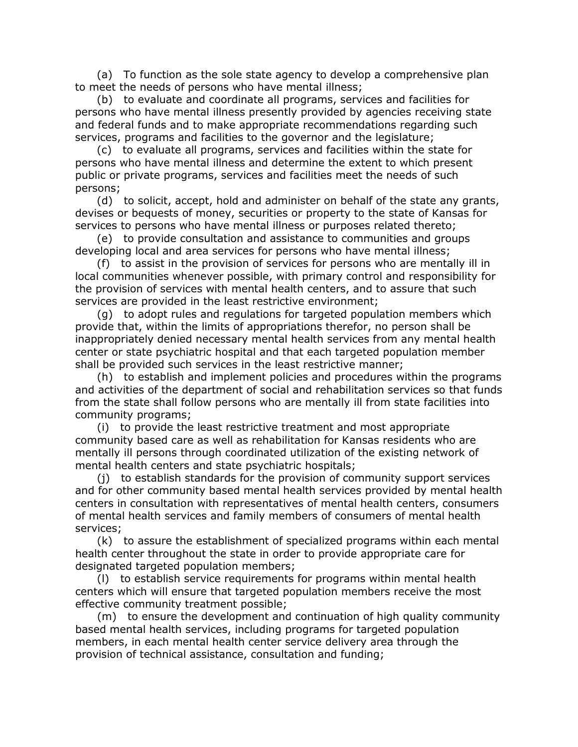(a) To function as the sole state agency to develop a comprehensive plan to meet the needs of persons who have mental illness;

(b) to evaluate and coordinate all programs, services and facilities for persons who have mental illness presently provided by agencies receiving state and federal funds and to make appropriate recommendations regarding such services, programs and facilities to the governor and the legislature;

(c) to evaluate all programs, services and facilities within the state for persons who have mental illness and determine the extent to which present public or private programs, services and facilities meet the needs of such persons;

(d) to solicit, accept, hold and administer on behalf of the state any grants, devises or bequests of money, securities or property to the state of Kansas for services to persons who have mental illness or purposes related thereto;

(e) to provide consultation and assistance to communities and groups developing local and area services for persons who have mental illness;

(f) to assist in the provision of services for persons who are mentally ill in local communities whenever possible, with primary control and responsibility for the provision of services with mental health centers, and to assure that such services are provided in the least restrictive environment;

(g) to adopt rules and regulations for targeted population members which provide that, within the limits of appropriations therefor, no person shall be inappropriately denied necessary mental health services from any mental health center or state psychiatric hospital and that each targeted population member shall be provided such services in the least restrictive manner;

(h) to establish and implement policies and procedures within the programs and activities of the department of social and rehabilitation services so that funds from the state shall follow persons who are mentally ill from state facilities into community programs;

(i) to provide the least restrictive treatment and most appropriate community based care as well as rehabilitation for Kansas residents who are mentally ill persons through coordinated utilization of the existing network of mental health centers and state psychiatric hospitals;

(j) to establish standards for the provision of community support services and for other community based mental health services provided by mental health centers in consultation with representatives of mental health centers, consumers of mental health services and family members of consumers of mental health services;

(k) to assure the establishment of specialized programs within each mental health center throughout the state in order to provide appropriate care for designated targeted population members;

(l) to establish service requirements for programs within mental health centers which will ensure that targeted population members receive the most effective community treatment possible;

(m) to ensure the development and continuation of high quality community based mental health services, including programs for targeted population members, in each mental health center service delivery area through the provision of technical assistance, consultation and funding;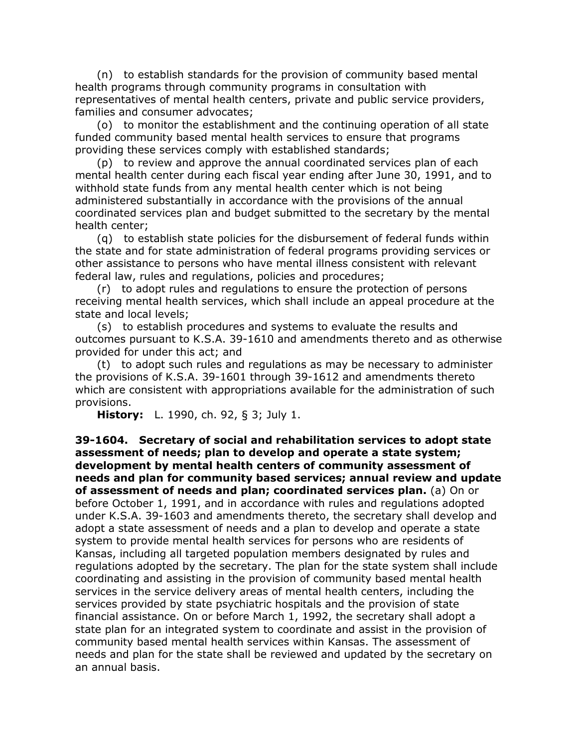(n) to establish standards for the provision of community based mental health programs through community programs in consultation with representatives of mental health centers, private and public service providers, families and consumer advocates;

(o) to monitor the establishment and the continuing operation of all state funded community based mental health services to ensure that programs providing these services comply with established standards;

(p) to review and approve the annual coordinated services plan of each mental health center during each fiscal year ending after June 30, 1991, and to withhold state funds from any mental health center which is not being administered substantially in accordance with the provisions of the annual coordinated services plan and budget submitted to the secretary by the mental health center;

(q) to establish state policies for the disbursement of federal funds within the state and for state administration of federal programs providing services or other assistance to persons who have mental illness consistent with relevant federal law, rules and regulations, policies and procedures;

(r) to adopt rules and regulations to ensure the protection of persons receiving mental health services, which shall include an appeal procedure at the state and local levels;

(s) to establish procedures and systems to evaluate the results and outcomes pursuant to K.S.A. 39-1610 and amendments thereto and as otherwise provided for under this act; and

(t) to adopt such rules and regulations as may be necessary to administer the provisions of K.S.A. 39-1601 through 39-1612 and amendments thereto which are consistent with appropriations available for the administration of such provisions.

**History:** L. 1990, ch. 92, § 3; July 1.

**39-1604. Secretary of social and rehabilitation services to adopt state assessment of needs; plan to develop and operate a state system; development by mental health centers of community assessment of needs and plan for community based services; annual review and update of assessment of needs and plan; coordinated services plan.** (a) On or before October 1, 1991, and in accordance with rules and regulations adopted under K.S.A. 39-1603 and amendments thereto, the secretary shall develop and adopt a state assessment of needs and a plan to develop and operate a state system to provide mental health services for persons who are residents of Kansas, including all targeted population members designated by rules and regulations adopted by the secretary. The plan for the state system shall include coordinating and assisting in the provision of community based mental health services in the service delivery areas of mental health centers, including the services provided by state psychiatric hospitals and the provision of state financial assistance. On or before March 1, 1992, the secretary shall adopt a state plan for an integrated system to coordinate and assist in the provision of community based mental health services within Kansas. The assessment of needs and plan for the state shall be reviewed and updated by the secretary on an annual basis.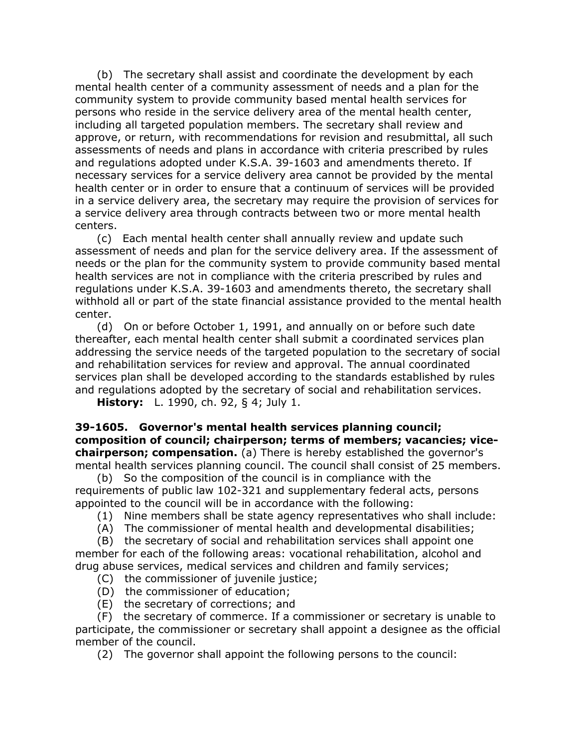(b) The secretary shall assist and coordinate the development by each mental health center of a community assessment of needs and a plan for the community system to provide community based mental health services for persons who reside in the service delivery area of the mental health center, including all targeted population members. The secretary shall review and approve, or return, with recommendations for revision and resubmittal, all such assessments of needs and plans in accordance with criteria prescribed by rules and regulations adopted under K.S.A. 39-1603 and amendments thereto. If necessary services for a service delivery area cannot be provided by the mental health center or in order to ensure that a continuum of services will be provided in a service delivery area, the secretary may require the provision of services for a service delivery area through contracts between two or more mental health centers.

(c) Each mental health center shall annually review and update such assessment of needs and plan for the service delivery area. If the assessment of needs or the plan for the community system to provide community based mental health services are not in compliance with the criteria prescribed by rules and regulations under K.S.A. 39-1603 and amendments thereto, the secretary shall withhold all or part of the state financial assistance provided to the mental health center.

(d) On or before October 1, 1991, and annually on or before such date thereafter, each mental health center shall submit a coordinated services plan addressing the service needs of the targeted population to the secretary of social and rehabilitation services for review and approval. The annual coordinated services plan shall be developed according to the standards established by rules and regulations adopted by the secretary of social and rehabilitation services.

**History:** L. 1990, ch. 92, § 4; July 1.

**39-1605. Governor's mental health services planning council; composition of council; chairperson; terms of members; vacancies; vicechairperson; compensation.** (a) There is hereby established the governor's mental health services planning council. The council shall consist of 25 members.

(b) So the composition of the council is in compliance with the requirements of public law 102-321 and supplementary federal acts, persons appointed to the council will be in accordance with the following:

- (1) Nine members shall be state agency representatives who shall include:
- (A) The commissioner of mental health and developmental disabilities;

(B) the secretary of social and rehabilitation services shall appoint one member for each of the following areas: vocational rehabilitation, alcohol and drug abuse services, medical services and children and family services;

- (C) the commissioner of juvenile justice;
- (D) the commissioner of education;
- (E) the secretary of corrections; and

(F) the secretary of commerce. If a commissioner or secretary is unable to participate, the commissioner or secretary shall appoint a designee as the official member of the council.

(2) The governor shall appoint the following persons to the council: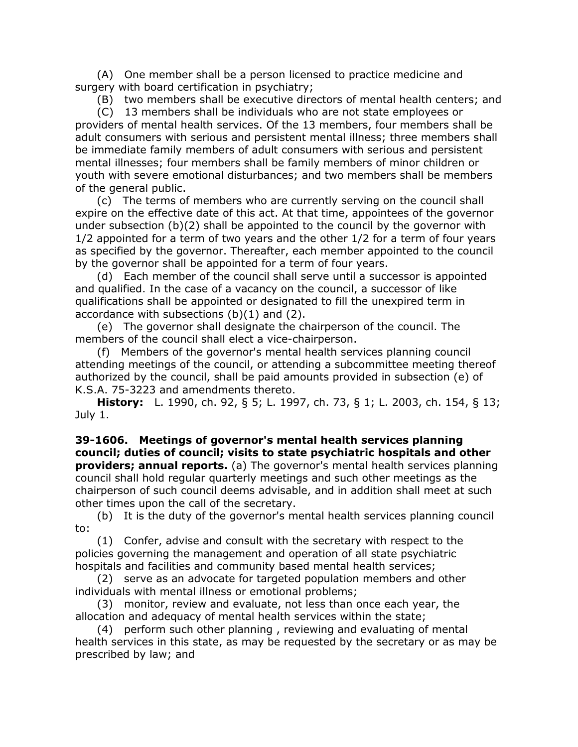(A) One member shall be a person licensed to practice medicine and surgery with board certification in psychiatry;

(B) two members shall be executive directors of mental health centers; and

(C) 13 members shall be individuals who are not state employees or providers of mental health services. Of the 13 members, four members shall be adult consumers with serious and persistent mental illness; three members shall be immediate family members of adult consumers with serious and persistent mental illnesses; four members shall be family members of minor children or youth with severe emotional disturbances; and two members shall be members of the general public.

(c) The terms of members who are currently serving on the council shall expire on the effective date of this act. At that time, appointees of the governor under subsection (b)(2) shall be appointed to the council by the governor with 1/2 appointed for a term of two years and the other 1/2 for a term of four years as specified by the governor. Thereafter, each member appointed to the council by the governor shall be appointed for a term of four years.

(d) Each member of the council shall serve until a successor is appointed and qualified. In the case of a vacancy on the council, a successor of like qualifications shall be appointed or designated to fill the unexpired term in accordance with subsections (b)(1) and (2).

(e) The governor shall designate the chairperson of the council. The members of the council shall elect a vice-chairperson.

(f) Members of the governor's mental health services planning council attending meetings of the council, or attending a subcommittee meeting thereof authorized by the council, shall be paid amounts provided in subsection (e) of K.S.A. 75-3223 and amendments thereto.

**History:** L. 1990, ch. 92, § 5; L. 1997, ch. 73, § 1; L. 2003, ch. 154, § 13; July 1.

**39-1606. Meetings of governor's mental health services planning council; duties of council; visits to state psychiatric hospitals and other providers; annual reports.** (a) The governor's mental health services planning council shall hold regular quarterly meetings and such other meetings as the chairperson of such council deems advisable, and in addition shall meet at such other times upon the call of the secretary.

(b) It is the duty of the governor's mental health services planning council to:

(1) Confer, advise and consult with the secretary with respect to the policies governing the management and operation of all state psychiatric hospitals and facilities and community based mental health services;

(2) serve as an advocate for targeted population members and other individuals with mental illness or emotional problems;

(3) monitor, review and evaluate, not less than once each year, the allocation and adequacy of mental health services within the state;

(4) perform such other planning , reviewing and evaluating of mental health services in this state, as may be requested by the secretary or as may be prescribed by law; and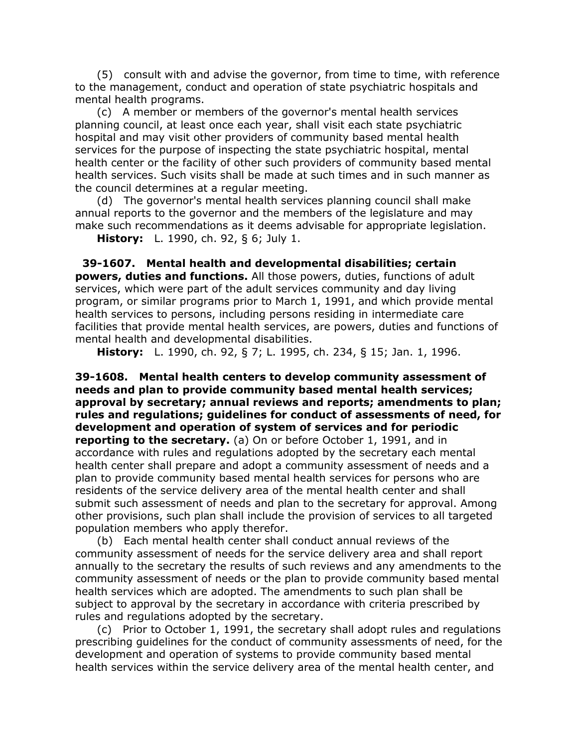(5) consult with and advise the governor, from time to time, with reference to the management, conduct and operation of state psychiatric hospitals and mental health programs.

(c) A member or members of the governor's mental health services planning council, at least once each year, shall visit each state psychiatric hospital and may visit other providers of community based mental health services for the purpose of inspecting the state psychiatric hospital, mental health center or the facility of other such providers of community based mental health services. Such visits shall be made at such times and in such manner as the council determines at a regular meeting.

(d) The governor's mental health services planning council shall make annual reports to the governor and the members of the legislature and may make such recommendations as it deems advisable for appropriate legislation.

**History:** L. 1990, ch. 92, § 6; July 1.

**39-1607. Mental health and developmental disabilities; certain powers, duties and functions.** All those powers, duties, functions of adult services, which were part of the adult services community and day living program, or similar programs prior to March 1, 1991, and which provide mental health services to persons, including persons residing in intermediate care facilities that provide mental health services, are powers, duties and functions of mental health and developmental disabilities.

**History:** L. 1990, ch. 92, § 7; L. 1995, ch. 234, § 15; Jan. 1, 1996.

**39-1608. Mental health centers to develop community assessment of needs and plan to provide community based mental health services; approval by secretary; annual reviews and reports; amendments to plan; rules and regulations; guidelines for conduct of assessments of need, for development and operation of system of services and for periodic reporting to the secretary.** (a) On or before October 1, 1991, and in accordance with rules and regulations adopted by the secretary each mental health center shall prepare and adopt a community assessment of needs and a plan to provide community based mental health services for persons who are residents of the service delivery area of the mental health center and shall submit such assessment of needs and plan to the secretary for approval. Among other provisions, such plan shall include the provision of services to all targeted population members who apply therefor.

(b) Each mental health center shall conduct annual reviews of the community assessment of needs for the service delivery area and shall report annually to the secretary the results of such reviews and any amendments to the community assessment of needs or the plan to provide community based mental health services which are adopted. The amendments to such plan shall be subject to approval by the secretary in accordance with criteria prescribed by rules and regulations adopted by the secretary.

(c) Prior to October 1, 1991, the secretary shall adopt rules and regulations prescribing guidelines for the conduct of community assessments of need, for the development and operation of systems to provide community based mental health services within the service delivery area of the mental health center, and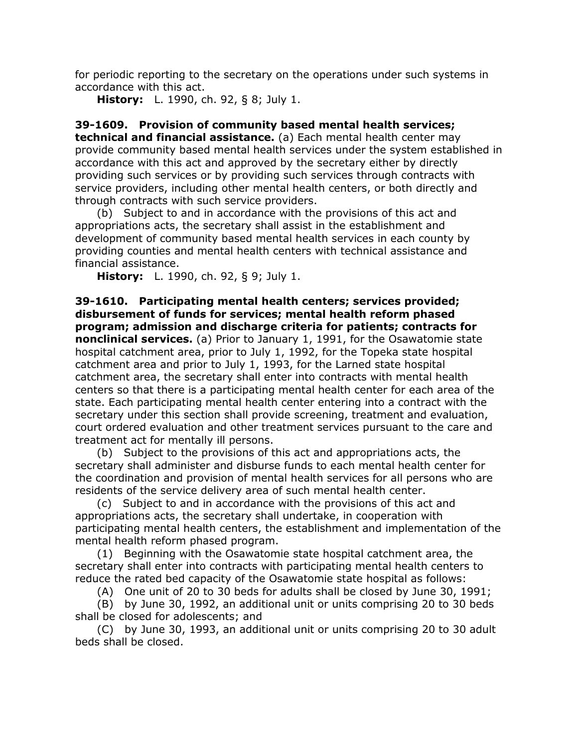for periodic reporting to the secretary on the operations under such systems in accordance with this act.

**History:** L. 1990, ch. 92, § 8; July 1.

**39-1609. Provision of community based mental health services; technical and financial assistance.** (a) Each mental health center may provide community based mental health services under the system established in accordance with this act and approved by the secretary either by directly providing such services or by providing such services through contracts with service providers, including other mental health centers, or both directly and through contracts with such service providers.

(b) Subject to and in accordance with the provisions of this act and appropriations acts, the secretary shall assist in the establishment and development of community based mental health services in each county by providing counties and mental health centers with technical assistance and financial assistance.

**History:** L. 1990, ch. 92, § 9; July 1.

**39-1610. Participating mental health centers; services provided; disbursement of funds for services; mental health reform phased program; admission and discharge criteria for patients; contracts for nonclinical services.** (a) Prior to January 1, 1991, for the Osawatomie state hospital catchment area, prior to July 1, 1992, for the Topeka state hospital catchment area and prior to July 1, 1993, for the Larned state hospital catchment area, the secretary shall enter into contracts with mental health centers so that there is a participating mental health center for each area of the state. Each participating mental health center entering into a contract with the secretary under this section shall provide screening, treatment and evaluation, court ordered evaluation and other treatment services pursuant to the care and treatment act for mentally ill persons.

(b) Subject to the provisions of this act and appropriations acts, the secretary shall administer and disburse funds to each mental health center for the coordination and provision of mental health services for all persons who are residents of the service delivery area of such mental health center.

(c) Subject to and in accordance with the provisions of this act and appropriations acts, the secretary shall undertake, in cooperation with participating mental health centers, the establishment and implementation of the mental health reform phased program.

(1) Beginning with the Osawatomie state hospital catchment area, the secretary shall enter into contracts with participating mental health centers to reduce the rated bed capacity of the Osawatomie state hospital as follows:

(A) One unit of 20 to 30 beds for adults shall be closed by June 30, 1991;

(B) by June 30, 1992, an additional unit or units comprising 20 to 30 beds shall be closed for adolescents; and

(C) by June 30, 1993, an additional unit or units comprising 20 to 30 adult beds shall be closed.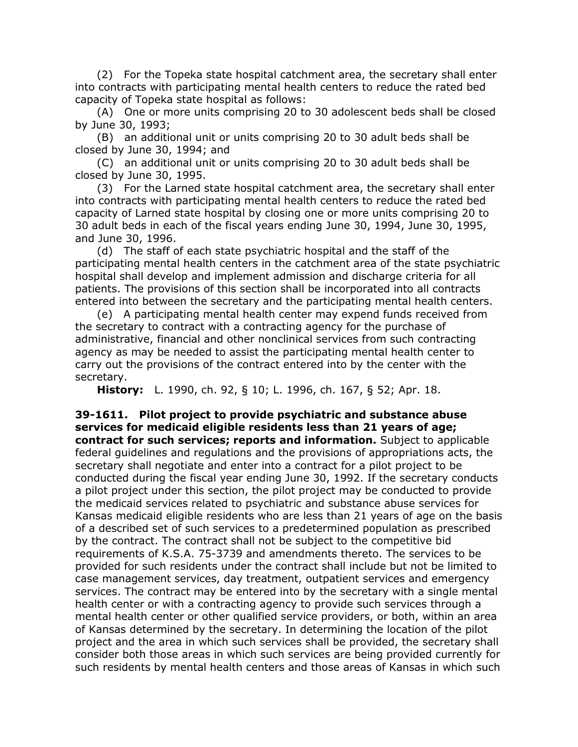(2) For the Topeka state hospital catchment area, the secretary shall enter into contracts with participating mental health centers to reduce the rated bed capacity of Topeka state hospital as follows:

(A) One or more units comprising 20 to 30 adolescent beds shall be closed by June 30, 1993;

(B) an additional unit or units comprising 20 to 30 adult beds shall be closed by June 30, 1994; and

(C) an additional unit or units comprising 20 to 30 adult beds shall be closed by June 30, 1995.

(3) For the Larned state hospital catchment area, the secretary shall enter into contracts with participating mental health centers to reduce the rated bed capacity of Larned state hospital by closing one or more units comprising 20 to 30 adult beds in each of the fiscal years ending June 30, 1994, June 30, 1995, and June 30, 1996.

(d) The staff of each state psychiatric hospital and the staff of the participating mental health centers in the catchment area of the state psychiatric hospital shall develop and implement admission and discharge criteria for all patients. The provisions of this section shall be incorporated into all contracts entered into between the secretary and the participating mental health centers.

(e) A participating mental health center may expend funds received from the secretary to contract with a contracting agency for the purchase of administrative, financial and other nonclinical services from such contracting agency as may be needed to assist the participating mental health center to carry out the provisions of the contract entered into by the center with the secretary.

**History:** L. 1990, ch. 92, § 10; L. 1996, ch. 167, § 52; Apr. 18.

**39-1611. Pilot project to provide psychiatric and substance abuse services for medicaid eligible residents less than 21 years of age; contract for such services; reports and information.** Subject to applicable federal guidelines and regulations and the provisions of appropriations acts, the secretary shall negotiate and enter into a contract for a pilot project to be conducted during the fiscal year ending June 30, 1992. If the secretary conducts a pilot project under this section, the pilot project may be conducted to provide the medicaid services related to psychiatric and substance abuse services for Kansas medicaid eligible residents who are less than 21 years of age on the basis of a described set of such services to a predetermined population as prescribed by the contract. The contract shall not be subject to the competitive bid requirements of K.S.A. 75-3739 and amendments thereto. The services to be provided for such residents under the contract shall include but not be limited to case management services, day treatment, outpatient services and emergency services. The contract may be entered into by the secretary with a single mental health center or with a contracting agency to provide such services through a mental health center or other qualified service providers, or both, within an area of Kansas determined by the secretary. In determining the location of the pilot project and the area in which such services shall be provided, the secretary shall consider both those areas in which such services are being provided currently for such residents by mental health centers and those areas of Kansas in which such